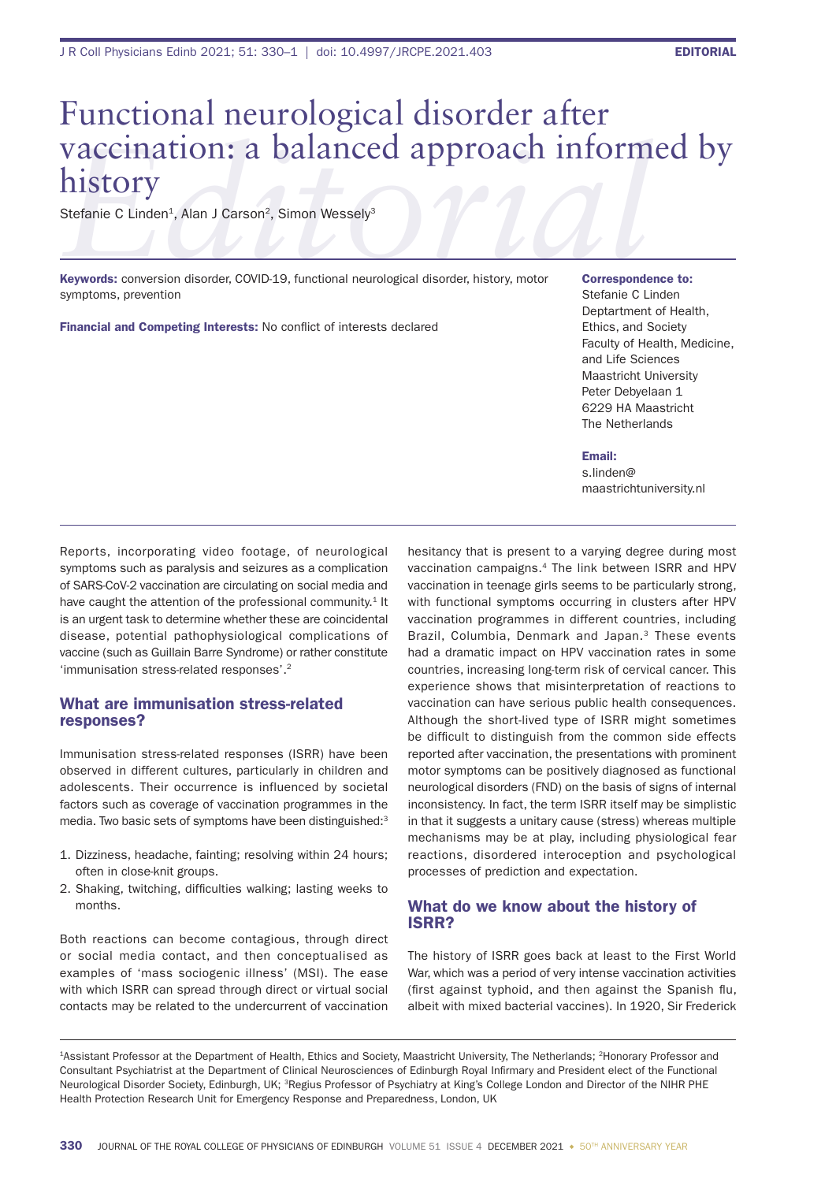# **Exergine C Linden<sup>1</sup>, Alan J Carson<sup>2</sup>, Simon Wessely<sup>3</sup><br>** *Editation* **C Linden<sup>1</sup>, Alan J Carson<sup>2</sup>, Simon Wessely<sup>3</sup><br>** *Editory Conversion disorder, COVID-***19,** *functional neurological disorder, history, motor* **correspond** Functional neurological disorder after history

Stefanie C Linden<sup>1</sup>, Alan J Carson<sup>2</sup>, Simon Wessely<sup>3</sup>

Keywords: conversion disorder, COVID-19, functional neurological disorder, history, motor symptoms, prevention

Financial and Competing Interests: No conflict of interests declared

#### Correspondence to:

Stefanie C Linden Deptartment of Health, Ethics, and Society Faculty of Health, Medicine, and Life Sciences Maastricht University Peter Debyelaan 1 6229 HA Maastricht The Netherlands

#### Email:

s.linden@ maastrichtuniversity.nl

Reports, incorporating video footage, of neurological symptoms such as paralysis and seizures as a complication of SARS-CoV-2 vaccination are circulating on social media and have caught the attention of the professional community.<sup>1</sup> It is an urgent task to determine whether these are coincidental disease, potential pathophysiological complications of vaccine (such as Guillain Barre Syndrome) or rather constitute 'immunisation stress-related responses'.2

## What are immunisation stress-related responses?

Immunisation stress-related responses (ISRR) have been observed in different cultures, particularly in children and adolescents. Their occurrence is influenced by societal factors such as coverage of vaccination programmes in the media. Two basic sets of symptoms have been distinguished:<sup>3</sup>

- 1. Dizziness, headache, fainting; resolving within 24 hours; often in close-knit groups.
- 2. Shaking, twitching, difficulties walking; lasting weeks to months.

Both reactions can become contagious, through direct or social media contact, and then conceptualised as examples of 'mass sociogenic illness' (MSI). The ease with which ISRR can spread through direct or virtual social contacts may be related to the undercurrent of vaccination

hesitancy that is present to a varying degree during most vaccination campaigns.4 The link between ISRR and HPV vaccination in teenage girls seems to be particularly strong, with functional symptoms occurring in clusters after HPV vaccination programmes in different countries, including Brazil, Columbia, Denmark and Japan.<sup>3</sup> These events had a dramatic impact on HPV vaccination rates in some countries, increasing long-term risk of cervical cancer. This experience shows that misinterpretation of reactions to vaccination can have serious public health consequences. Although the short-lived type of ISRR might sometimes be difficult to distinguish from the common side effects reported after vaccination, the presentations with prominent motor symptoms can be positively diagnosed as functional neurological disorders (FND) on the basis of signs of internal inconsistency. In fact, the term ISRR itself may be simplistic in that it suggests a unitary cause (stress) whereas multiple mechanisms may be at play, including physiological fear reactions, disordered interoception and psychological processes of prediction and expectation.

## What do we know about the history of ISRR?

The history of ISRR goes back at least to the First World War, which was a period of very intense vaccination activities (first against typhoid, and then against the Spanish flu, albeit with mixed bacterial vaccines). In 1920, Sir Frederick

<sup>1</sup>Assistant Professor at the Department of Health, Ethics and Society, Maastricht University, The Netherlands; 2Honorary Professor and Consultant Psychiatrist at the Department of Clinical Neurosciences of Edinburgh Royal Infirmary and President elect of the Functional Neurological Disorder Society, Edinburgh, UK; 3Regius Professor of Psychiatry at King's College London and Director of the NIHR PHE Health Protection Research Unit for Emergency Response and Preparedness, London, UK